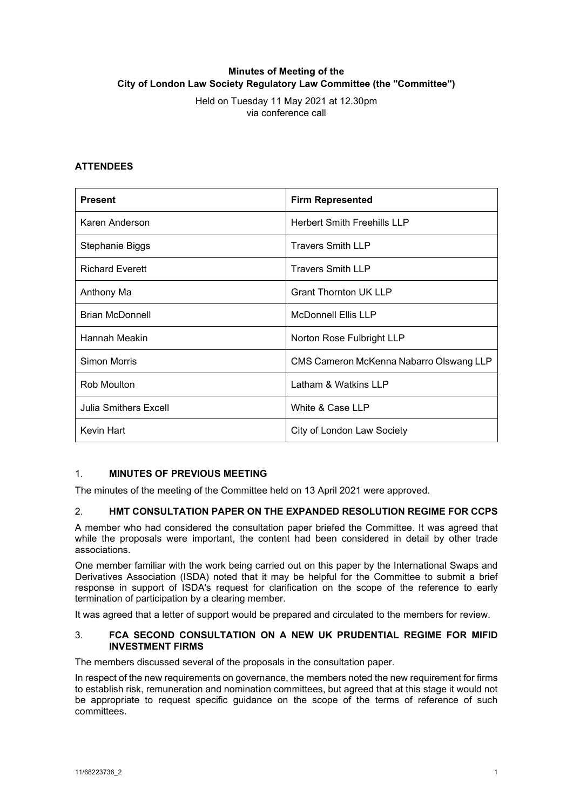# **Minutes of Meeting of the City of London Law Society Regulatory Law Committee (the "Committee")**

Held on Tuesday 11 May 2021 at 12.30pm via conference call

## **ATTENDEES**

| <b>Present</b>         | <b>Firm Represented</b>                 |
|------------------------|-----------------------------------------|
| Karen Anderson         | <b>Herbert Smith Freehills LLP</b>      |
| Stephanie Biggs        | <b>Travers Smith LLP</b>                |
| <b>Richard Everett</b> | <b>Travers Smith LLP</b>                |
| Anthony Ma             | <b>Grant Thornton UK LLP</b>            |
| <b>Brian McDonnell</b> | <b>McDonnell Ellis LLP</b>              |
| Hannah Meakin          | Norton Rose Fulbright LLP               |
| <b>Simon Morris</b>    | CMS Cameron McKenna Nabarro Olswang LLP |
| Rob Moulton            | Latham & Watkins LLP                    |
| Julia Smithers Excell  | White & Case LLP                        |
| Kevin Hart             | City of London Law Society              |

### 1. **MINUTES OF PREVIOUS MEETING**

The minutes of the meeting of the Committee held on 13 April 2021 were approved.

### 2. **HMT CONSULTATION PAPER ON THE EXPANDED RESOLUTION REGIME FOR CCPS**

A member who had considered the consultation paper briefed the Committee. It was agreed that while the proposals were important, the content had been considered in detail by other trade associations.

One member familiar with the work being carried out on this paper by the International Swaps and Derivatives Association (ISDA) noted that it may be helpful for the Committee to submit a brief response in support of ISDA's request for clarification on the scope of the reference to early termination of participation by a clearing member.

It was agreed that a letter of support would be prepared and circulated to the members for review.

#### 3. **FCA SECOND CONSULTATION ON A NEW UK PRUDENTIAL REGIME FOR MIFID INVESTMENT FIRMS**

The members discussed several of the proposals in the consultation paper.

In respect of the new requirements on governance, the members noted the new requirement for firms to establish risk, remuneration and nomination committees, but agreed that at this stage it would not be appropriate to request specific guidance on the scope of the terms of reference of such committees.